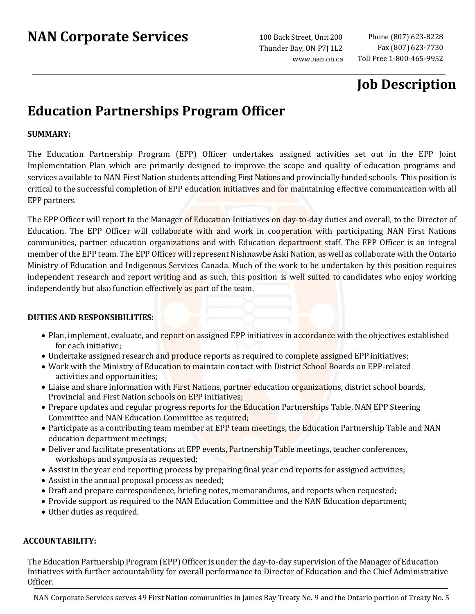Thunder Bay, ON P7J 1L2 [www.nan.on.ca](http://www.nan.on.ca/)

## **Job Description**

# **Education Partnerships Program Officer**

### **SUMMARY:**

The Education Partnership Program (EPP) Officer undertakes assigned activities set out in the EPP Joint Implementation Plan which are primarily designed to improve the scope and quality of education programs and services available to NAN First Nation students attending First Nations and provincially funded schools. This position is critical to the successful completion of EPP education initiatives and for maintaining effective communication with all EPP partners.

The EPP Officer will report to the Manager of Education Initiatives on day-to-day duties and overall, to the Director of Education. The EPP Officer will collaborate with and work in cooperation with participating NAN First Nations communities, partner education organizations and with Education department staff. The EPP Officer is an integral member of the EPP team. The EPP Officer will represent Nishnawbe Aski Nation, as well as collaborate with the Ontario Ministry of Education and Indigenous Services Canada. Much of the work to be undertaken by this position requires independent research and report writing and as such, this position is well suited to candidates who enjoy working independently but also function effectively as part of the team.

#### **DUTIES AND RESPONSIBILITIES:**

- Plan, implement, evaluate, and report on assigned EPP initiatives in accordance with the objectives established for each initiative;
- Undertake assigned research and produce reports as required to complete assigned EPP initiatives;
- Work with the Ministry of Education to maintain contact with District School Boards on EPP-related activities and opportunities;
- Liaise and share information with First Nations, partner education organizations, district school boards, Provincial and First Nation schools on EPP initiatives;
- Prepare updates and regular progress reports for the Education Partnerships Table, NAN EPP Steering Committee and NAN Education Committee as required;
- Participate as a contributing team member at EPP team meetings, the Education Partnership Table and NAN education department meetings;
- Deliver and facilitate presentations at EPP events, Partnership Table meetings, teacher conferences, workshops and symposia as requested;
- Assist in the year end reporting process by preparing final year end reports for assigned activities;
- Assist in the annual proposal process as needed;
- Draft and prepare correspondence, briefing notes, memorandums, and reports when requested;
- Provide support as required to the NAN Education Committee and the NAN Education department;
- Other duties as required.

### **ACCOUNTABILITY:**

The Education Partnership Program (EPP) Officer is under the day-to-day supervision of the Manager of Education Initiatives with further accountability for overall performance to Director of Education and the Chief Administrative Officer.

NAN Corporate Services serves 49 First Nation communities in James Bay Treaty No. 9 and the Ontario portion of Treaty No. 5